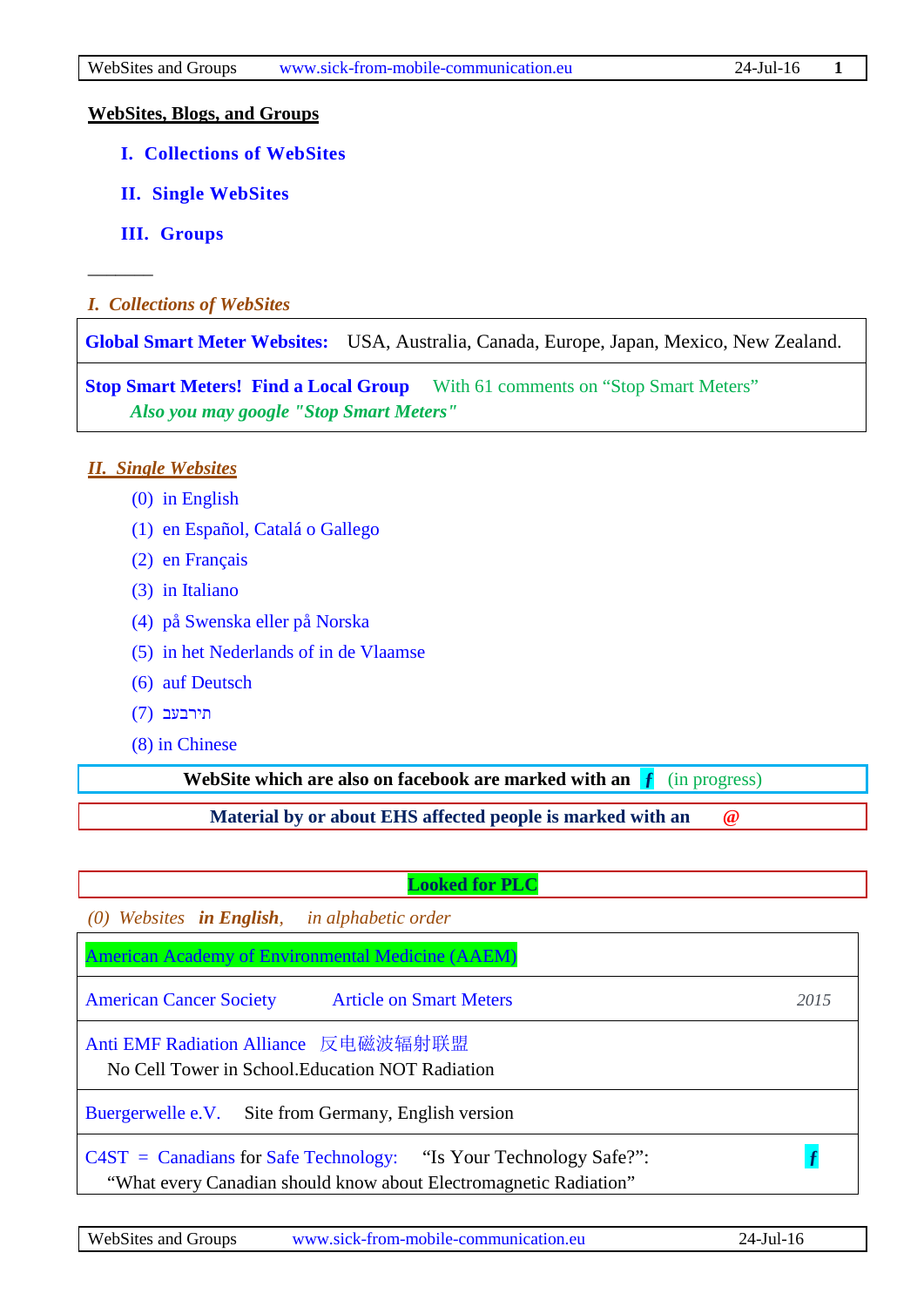#### **WebSites, Blogs, and Groups**

- **[I. Collections of WebSites](#page-0-0)**
- **[II. Single WebSites](#page-0-1)**
- **[III. Groups](#page-8-0)**

–––––––

<span id="page-0-0"></span>*I. Collections of WebSites*

**[Global Smart Meter Websites:](http://emfsafetynetwork.org/smart-meters/action-now/find-smart-meter-websites-in-your-area/)** USA, Australia, Canada, Europe, Japan, Mexico, New Zealand.

**Stop Smart Meters! Find a Local Group** With 61 comments on "Stop Smart Meters"  *Also you may google "Stop Smart Meters"*

#### <span id="page-0-1"></span>*II. Single Websites*

- [\(0\) in English](#page-0-2)
- [\(1\) en Español, Catalá o Gallego](#page-5-0)
- [\(2\) en Français](#page-6-0)
- [\(3\) in Italiano](#page-7-0)
- [\(4\) på Swenska](#page-7-1) eller på Norska
- [\(5\) in het Nederlands of in de Vlaamse](#page-7-2)
- [\(6\) auf Deutsch](#page-7-3)
- [תירבעב](#page-8-1) (7)
- [\(8\) in Chinese](#page-8-2)

**WebSite which are also on facebook are marked with an**  $\mathbf{f}$  [\(in progress\)](https://www.facebook.com/hotelsohnewlan)

**Material by or about EHS affected people is marked with an @** 

#### **Looked for PLC**

<span id="page-0-2"></span>*(0) Websites in English, in alphabetic order*

| American Academy of Environmental Medicine (AAEM)                                                                                        |      |
|------------------------------------------------------------------------------------------------------------------------------------------|------|
| <b>Article on Smart Meters</b><br><b>American Cancer Society</b>                                                                         | 2015 |
| Anti EMF Radiation Alliance 反电磁波辐射联盟<br>No Cell Tower in School. Education NOT Radiation                                                 |      |
| Buergerwelle e.V. Site from Germany, English version                                                                                     |      |
| $C4ST =$ Canadians for Safe Technology: "Is Your Technology Safe?":<br>"What every Canadian should know about Electromagnetic Radiation" |      |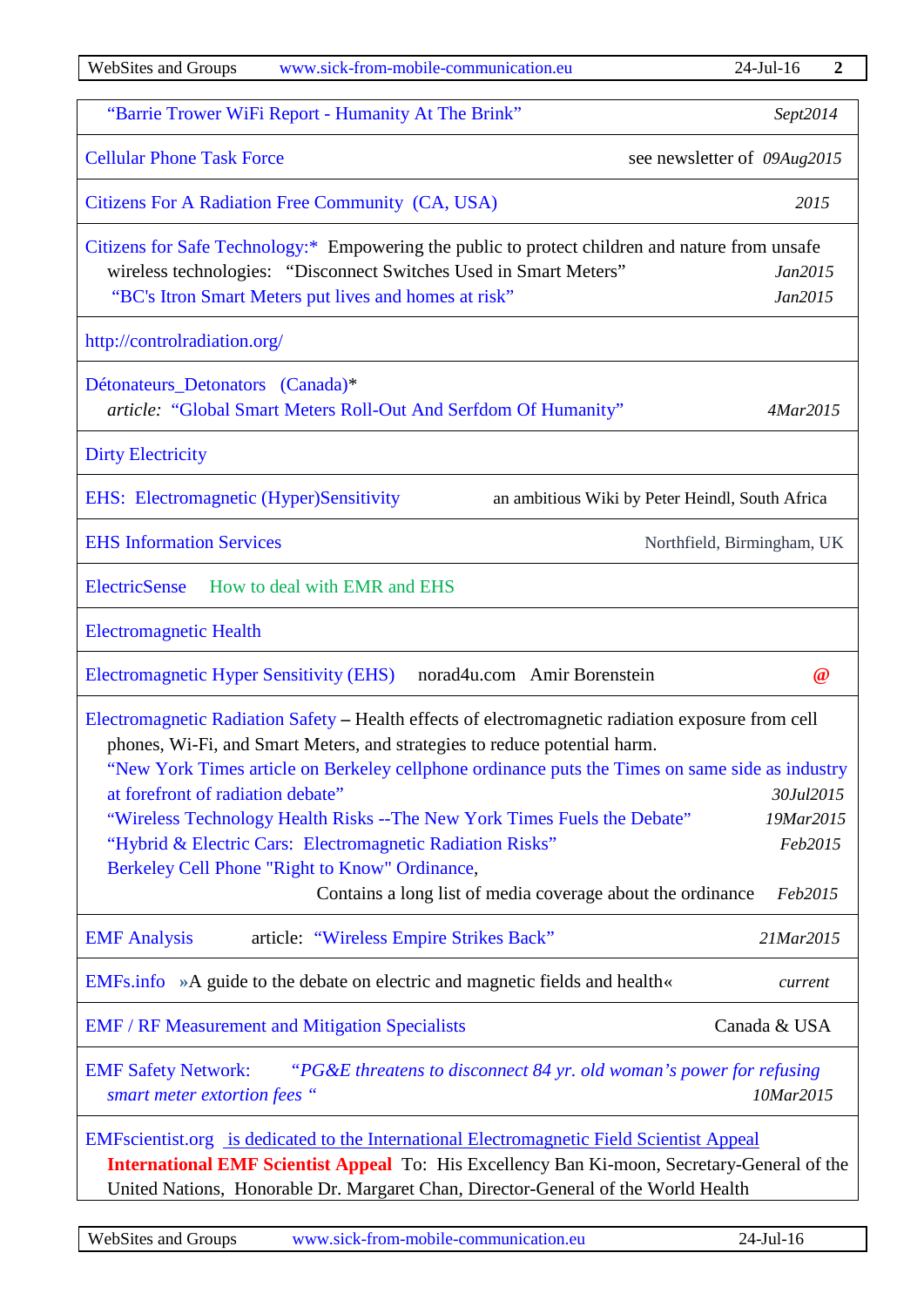| <b>WebSites and Groups</b><br>www.sick-from-mobile-communication.eu                                                                                                                                                                                                                                                                                                                                                                                                                                                                                                                                                              | $24$ -Jul-16<br>$\boldsymbol{2}$ |
|----------------------------------------------------------------------------------------------------------------------------------------------------------------------------------------------------------------------------------------------------------------------------------------------------------------------------------------------------------------------------------------------------------------------------------------------------------------------------------------------------------------------------------------------------------------------------------------------------------------------------------|----------------------------------|
| "Barrie Trower WiFi Report - Humanity At The Brink"                                                                                                                                                                                                                                                                                                                                                                                                                                                                                                                                                                              | Sept2014                         |
| <b>Cellular Phone Task Force</b>                                                                                                                                                                                                                                                                                                                                                                                                                                                                                                                                                                                                 | see newsletter of 09Aug2015      |
| Citizens For A Radiation Free Community (CA, USA)                                                                                                                                                                                                                                                                                                                                                                                                                                                                                                                                                                                | 2015                             |
| Citizens for Safe Technology:* Empowering the public to protect children and nature from unsafe<br>wireless technologies: "Disconnect Switches Used in Smart Meters"<br>"BC's Itron Smart Meters put lives and homes at risk"                                                                                                                                                                                                                                                                                                                                                                                                    | Jan2015<br>Jan2015               |
| http://controlradiation.org/                                                                                                                                                                                                                                                                                                                                                                                                                                                                                                                                                                                                     |                                  |
| Détonateurs_Detonators (Canada)*<br>article: "Global Smart Meters Roll-Out And Serfdom Of Humanity"                                                                                                                                                                                                                                                                                                                                                                                                                                                                                                                              | 4Mar2015                         |
| <b>Dirty Electricity</b>                                                                                                                                                                                                                                                                                                                                                                                                                                                                                                                                                                                                         |                                  |
| <b>EHS:</b> Electromagnetic (Hyper)Sensitivity<br>an ambitious Wiki by Peter Heindl, South Africa                                                                                                                                                                                                                                                                                                                                                                                                                                                                                                                                |                                  |
| <b>EHS Information Services</b>                                                                                                                                                                                                                                                                                                                                                                                                                                                                                                                                                                                                  | Northfield, Birmingham, UK       |
| <b>ElectricSense</b><br>How to deal with EMR and EHS                                                                                                                                                                                                                                                                                                                                                                                                                                                                                                                                                                             |                                  |
| <b>Electromagnetic Health</b>                                                                                                                                                                                                                                                                                                                                                                                                                                                                                                                                                                                                    |                                  |
| <b>Electromagnetic Hyper Sensitivity (EHS)</b><br>norad4u.com Amir Borenstein                                                                                                                                                                                                                                                                                                                                                                                                                                                                                                                                                    | $\omega$                         |
| Electromagnetic Radiation Safety - Health effects of electromagnetic radiation exposure from cell<br>phones, Wi-Fi, and Smart Meters, and strategies to reduce potential harm.<br>"New York Times article on Berkeley cellphone ordinance puts the Times on same side as industry<br>at forefront of radiation debate"<br>30Jul2015<br>"Wireless Technology Health Risks -- The New York Times Fuels the Debate"<br>19Mar2015<br>"Hybrid & Electric Cars: Electromagnetic Radiation Risks"<br>Feb2015<br>Berkeley Cell Phone "Right to Know" Ordinance,<br>Contains a long list of media coverage about the ordinance<br>Feb2015 |                                  |
| article: "Wireless Empire Strikes Back"<br><b>EMF</b> Analysis                                                                                                                                                                                                                                                                                                                                                                                                                                                                                                                                                                   | 21Mar2015                        |
| EMFs.info »A guide to the debate on electric and magnetic fields and health«                                                                                                                                                                                                                                                                                                                                                                                                                                                                                                                                                     | current                          |
| <b>EMF / RF Measurement and Mitigation Specialists</b>                                                                                                                                                                                                                                                                                                                                                                                                                                                                                                                                                                           | Canada & USA                     |
| <b>EMF Safety Network:</b><br>"PG&E threatens to disconnect 84 yr. old woman's power for refusing<br>smart meter extortion fees "                                                                                                                                                                                                                                                                                                                                                                                                                                                                                                | 10Mar2015                        |
| EMFscientist.org is dedicated to the International Electromagnetic Field Scientist Appeal<br>International EMF Scientist Appeal To: His Excellency Ban Ki-moon, Secretary-General of the<br>United Nations, Honorable Dr. Margaret Chan, Director-General of the World Health                                                                                                                                                                                                                                                                                                                                                    |                                  |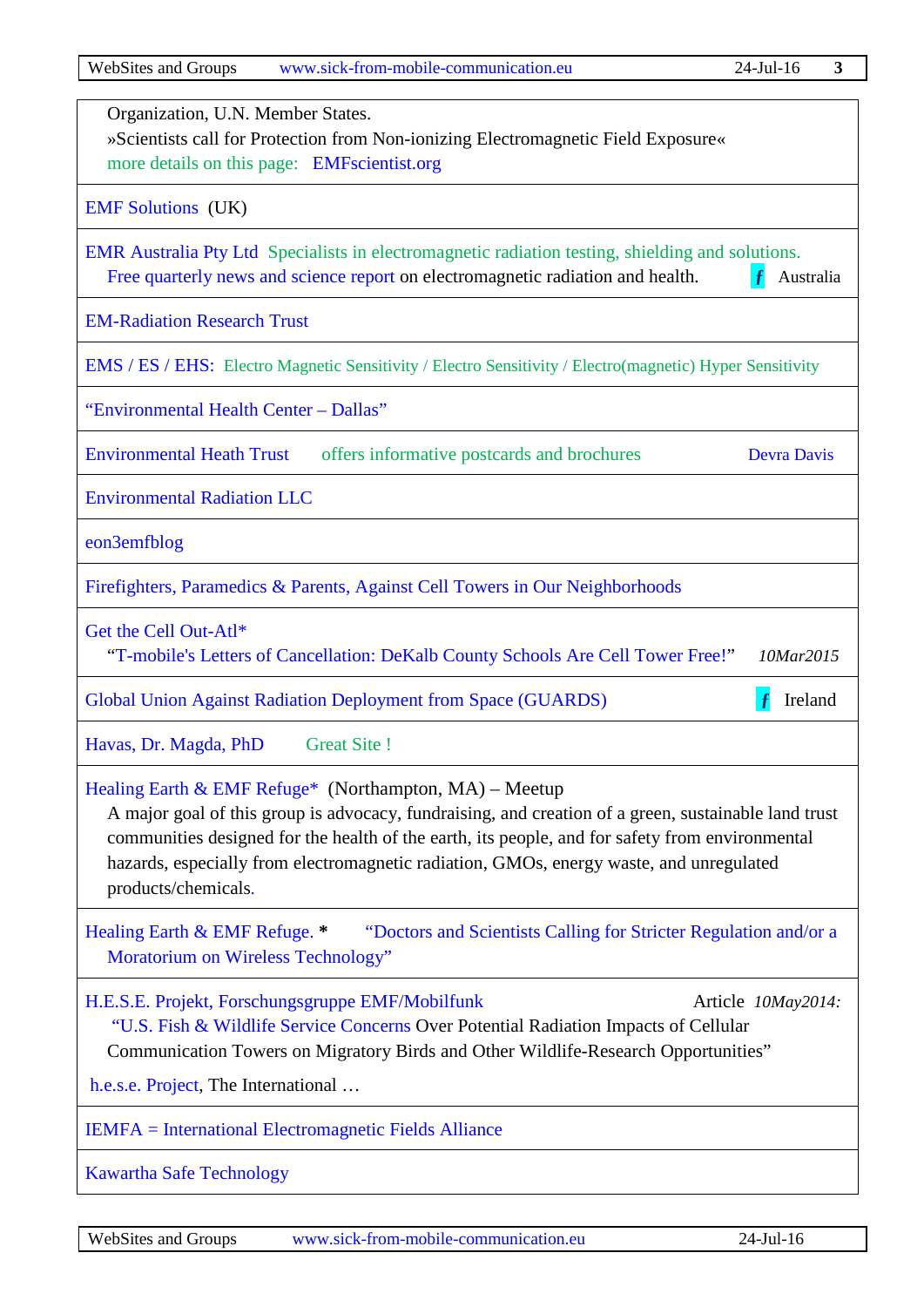| Organization, U.N. Member States.<br>»Scientists call for Protection from Non-ionizing Electromagnetic Field Exposure«<br>more details on this page: EMFscientist.org                                                                                                                                                                                                                  |  |
|----------------------------------------------------------------------------------------------------------------------------------------------------------------------------------------------------------------------------------------------------------------------------------------------------------------------------------------------------------------------------------------|--|
| <b>EMF Solutions</b> (UK)                                                                                                                                                                                                                                                                                                                                                              |  |
| EMR Australia Pty Ltd Specialists in electromagnetic radiation testing, shielding and solutions.<br>Free quarterly news and science report on electromagnetic radiation and health.<br>-f<br>Australia                                                                                                                                                                                 |  |
| <b>EM-Radiation Research Trust</b>                                                                                                                                                                                                                                                                                                                                                     |  |
| <b>EMS</b> / <b>ES</b> / <b>EHS</b> : Electro Magnetic Sensitivity / Electro Sensitivity / Electro(magnetic) Hyper Sensitivity                                                                                                                                                                                                                                                         |  |
| "Environmental Health Center - Dallas"                                                                                                                                                                                                                                                                                                                                                 |  |
| <b>Environmental Heath Trust</b><br>offers informative postcards and brochures<br><b>Devra Davis</b>                                                                                                                                                                                                                                                                                   |  |
| <b>Environmental Radiation LLC</b>                                                                                                                                                                                                                                                                                                                                                     |  |
| eon3emfblog                                                                                                                                                                                                                                                                                                                                                                            |  |
| Firefighters, Paramedics & Parents, Against Cell Towers in Our Neighborhoods                                                                                                                                                                                                                                                                                                           |  |
| Get the Cell Out-Atl*<br>"T-mobile's Letters of Cancellation: DeKalb County Schools Are Cell Tower Free!"<br>10Mar2015                                                                                                                                                                                                                                                                 |  |
| Global Union Against Radiation Deployment from Space (GUARDS)<br>Ireland                                                                                                                                                                                                                                                                                                               |  |
| <b>Great Site!</b><br>Havas, Dr. Magda, PhD                                                                                                                                                                                                                                                                                                                                            |  |
| Healing Earth & EMF Refuge* (Northampton, $MA$ ) – Meetup<br>A major goal of this group is advocacy, fundraising, and creation of a green, sustainable land trust<br>communities designed for the health of the earth, its people, and for safety from environmental<br>hazards, especially from electromagnetic radiation, GMOs, energy waste, and unregulated<br>products/chemicals. |  |
| Healing Earth & EMF Refuge. *<br>"Doctors and Scientists Calling for Stricter Regulation and/or a<br>Moratorium on Wireless Technology"                                                                                                                                                                                                                                                |  |
| H.E.S.E. Projekt, Forschungsgruppe EMF/Mobilfunk<br>Article 10May2014:<br>"U.S. Fish & Wildlife Service Concerns Over Potential Radiation Impacts of Cellular<br>Communication Towers on Migratory Birds and Other Wildlife-Research Opportunities"                                                                                                                                    |  |
| h.e.s.e. Project, The International                                                                                                                                                                                                                                                                                                                                                    |  |
| <b>IEMFA</b> = International Electromagnetic Fields Alliance                                                                                                                                                                                                                                                                                                                           |  |
| <b>Kawartha Safe Technology</b>                                                                                                                                                                                                                                                                                                                                                        |  |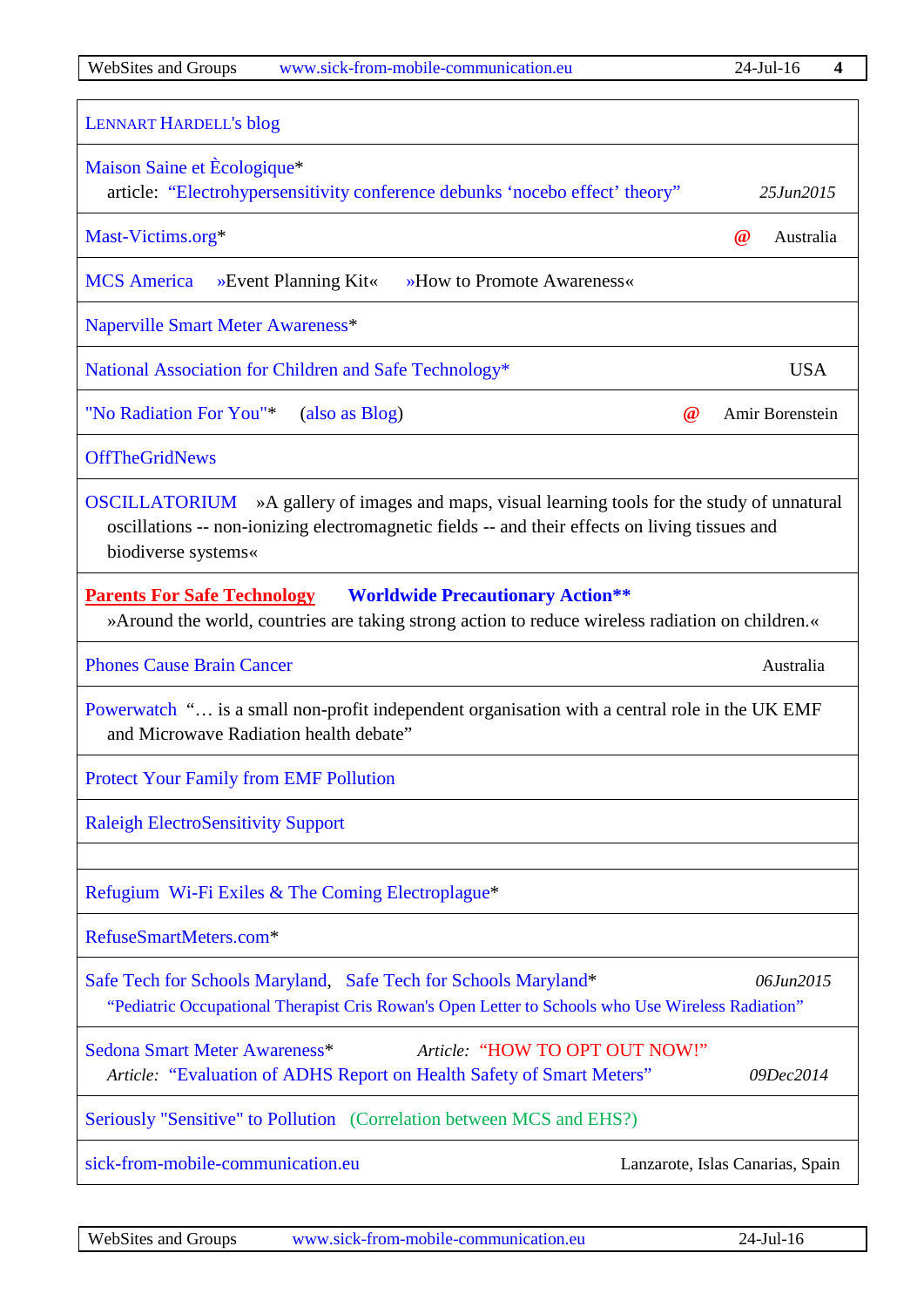| <b>LENNART HARDELL's blog</b><br>Maison Saine et Ecologique*<br>article: "Electrohypersensitivity conference debunks 'nocebo effect' theory"                                                                                  |                       |
|-------------------------------------------------------------------------------------------------------------------------------------------------------------------------------------------------------------------------------|-----------------------|
|                                                                                                                                                                                                                               |                       |
|                                                                                                                                                                                                                               | 25Jun2015             |
| Mast-Victims.org*                                                                                                                                                                                                             | $\omega$<br>Australia |
| »Event Planning Kit«<br>»How to Promote Awareness«<br><b>MCS</b> America                                                                                                                                                      |                       |
| Naperville Smart Meter Awareness*                                                                                                                                                                                             |                       |
| National Association for Children and Safe Technology*                                                                                                                                                                        | <b>USA</b>            |
| "No Radiation For You"*<br>(also as Blog)<br>$\omega$                                                                                                                                                                         | Amir Borenstein       |
| <b>OffTheGridNews</b>                                                                                                                                                                                                         |                       |
| <b>OSCILLATORIUM</b> »A gallery of images and maps, visual learning tools for the study of unnatural<br>oscillations -- non-ionizing electromagnetic fields -- and their effects on living tissues and<br>biodiverse systems« |                       |
| <b>Worldwide Precautionary Action**</b><br><b>Parents For Safe Technology</b><br>» Around the world, countries are taking strong action to reduce wireless radiation on children.                                             |                       |
| <b>Phones Cause Brain Cancer</b>                                                                                                                                                                                              | Australia             |
| Powerwatch " is a small non-profit independent organisation with a central role in the UK EMF<br>and Microwave Radiation health debate"                                                                                       |                       |
| <b>Protect Your Family from EMF Pollution</b>                                                                                                                                                                                 |                       |
|                                                                                                                                                                                                                               |                       |
| <b>Raleigh ElectroSensitivity Support</b>                                                                                                                                                                                     |                       |
| Refugium Wi-Fi Exiles & The Coming Electroplague*                                                                                                                                                                             |                       |
| RefuseSmartMeters.com*                                                                                                                                                                                                        |                       |
| Safe Tech for Schools Maryland, Safe Tech for Schools Maryland*<br>"Pediatric Occupational Therapist Cris Rowan's Open Letter to Schools who Use Wireless Radiation"                                                          | 06Jun2015             |
| Sedona Smart Meter Awareness*<br>Article: "HOW TO OPT OUT NOW!"<br>Article: "Evaluation of ADHS Report on Health Safety of Smart Meters"                                                                                      | 09Dec2014             |
| Seriously "Sensitive" to Pollution (Correlation between MCS and EHS?)                                                                                                                                                         |                       |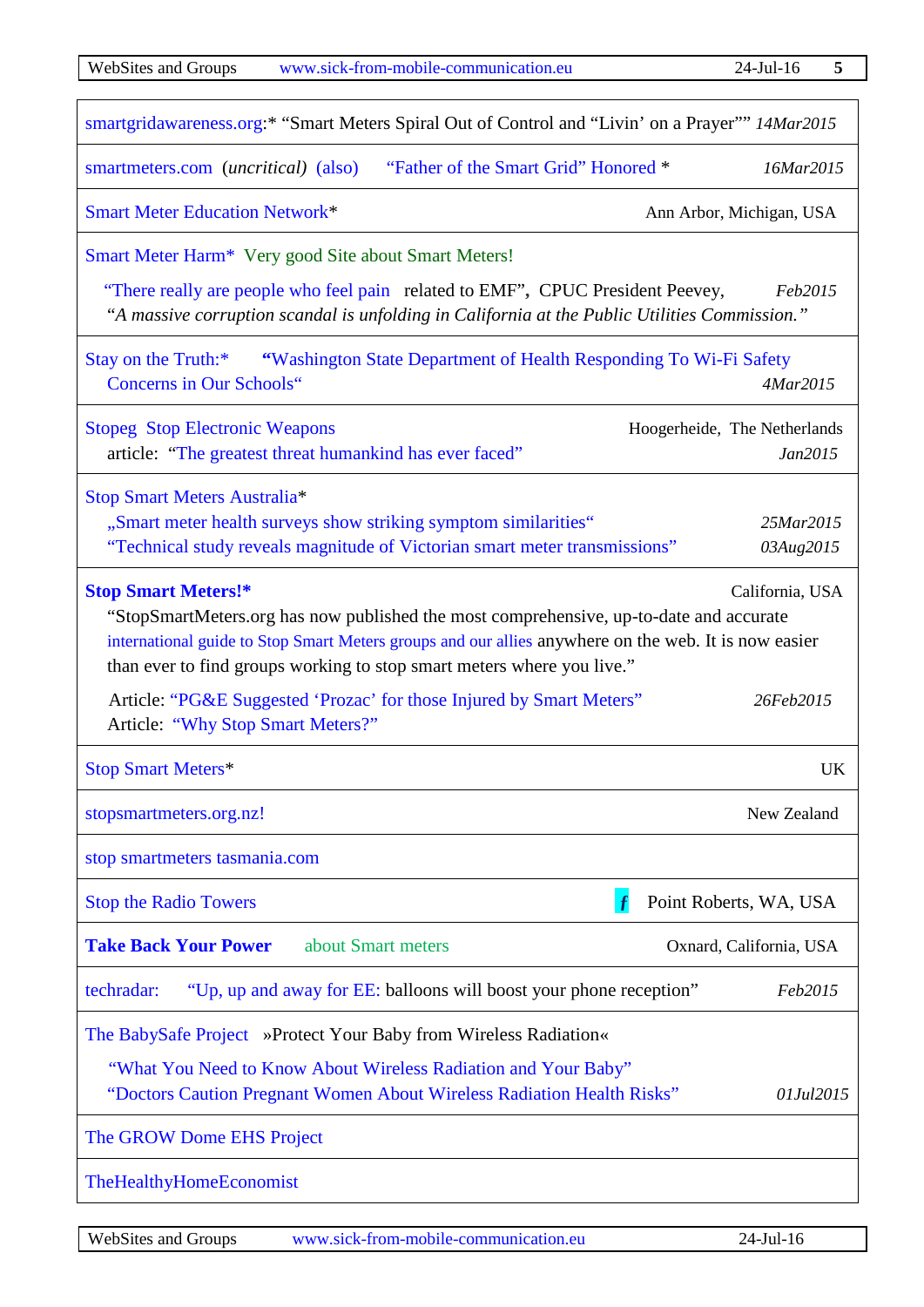| <b>WebSites and Groups</b><br>www.sick-from-mobile-communication.eu                                                                                                                                                                                                                                                       | $24$ -Jul-16<br>5                       |
|---------------------------------------------------------------------------------------------------------------------------------------------------------------------------------------------------------------------------------------------------------------------------------------------------------------------------|-----------------------------------------|
| smartgridawareness.org:* "Smart Meters Spiral Out of Control and "Livin' on a Prayer"" 14Mar2015                                                                                                                                                                                                                          |                                         |
| smartmeters.com ( <i>uncritical</i> ) (also) "Father of the Smart Grid" Honored *                                                                                                                                                                                                                                         | 16Mar2015                               |
| <b>Smart Meter Education Network*</b>                                                                                                                                                                                                                                                                                     | Ann Arbor, Michigan, USA                |
| Smart Meter Harm* Very good Site about Smart Meters!                                                                                                                                                                                                                                                                      |                                         |
| "There really are people who feel pain related to EMF", CPUC President Peevey,<br>"A massive corruption scandal is unfolding in California at the Public Utilities Commission."                                                                                                                                           | Feb2015                                 |
| Stay on the Truth:*<br>"Washington State Department of Health Responding To Wi-Fi Safety<br><b>Concerns in Our Schools"</b>                                                                                                                                                                                               | 4Mar2015                                |
| <b>Stopeg Stop Electronic Weapons</b><br>article: "The greatest threat humankind has ever faced"                                                                                                                                                                                                                          | Hoogerheide, The Netherlands<br>Jan2015 |
| Stop Smart Meters Australia*                                                                                                                                                                                                                                                                                              |                                         |
| "Smart meter health surveys show striking symptom similarities"                                                                                                                                                                                                                                                           | 25Mar2015                               |
| "Technical study reveals magnitude of Victorian smart meter transmissions"                                                                                                                                                                                                                                                | 03Aug2015                               |
| <b>Stop Smart Meters!*</b><br>California, USA<br>"StopSmartMeters.org has now published the most comprehensive, up-to-date and accurate<br>international guide to Stop Smart Meters groups and our allies anywhere on the web. It is now easier<br>than ever to find groups working to stop smart meters where you live." |                                         |
| Article: "PG&E Suggested 'Prozac' for those Injured by Smart Meters"<br>Article: "Why Stop Smart Meters?"                                                                                                                                                                                                                 | 26Feb2015                               |
| <b>Stop Smart Meters*</b>                                                                                                                                                                                                                                                                                                 | UK                                      |
| stopsmartmeters.org.nz!                                                                                                                                                                                                                                                                                                   | New Zealand                             |
| stop smartmeters tasmania.com                                                                                                                                                                                                                                                                                             |                                         |
| <b>Stop the Radio Towers</b>                                                                                                                                                                                                                                                                                              | Point Roberts, WA, USA                  |
| <b>Take Back Your Power</b><br>about Smart meters                                                                                                                                                                                                                                                                         | Oxnard, California, USA                 |
| techradar:<br>"Up, up and away for EE: balloons will boost your phone reception"                                                                                                                                                                                                                                          | Feb2015                                 |
| The BabySafe Project »Protect Your Baby from Wireless Radiation«<br>"What You Need to Know About Wireless Radiation and Your Baby"<br>"Doctors Caution Pregnant Women About Wireless Radiation Health Risks"                                                                                                              | 01Jul2015                               |
| The GROW Dome EHS Project                                                                                                                                                                                                                                                                                                 |                                         |
| TheHealthyHomeEconomist                                                                                                                                                                                                                                                                                                   |                                         |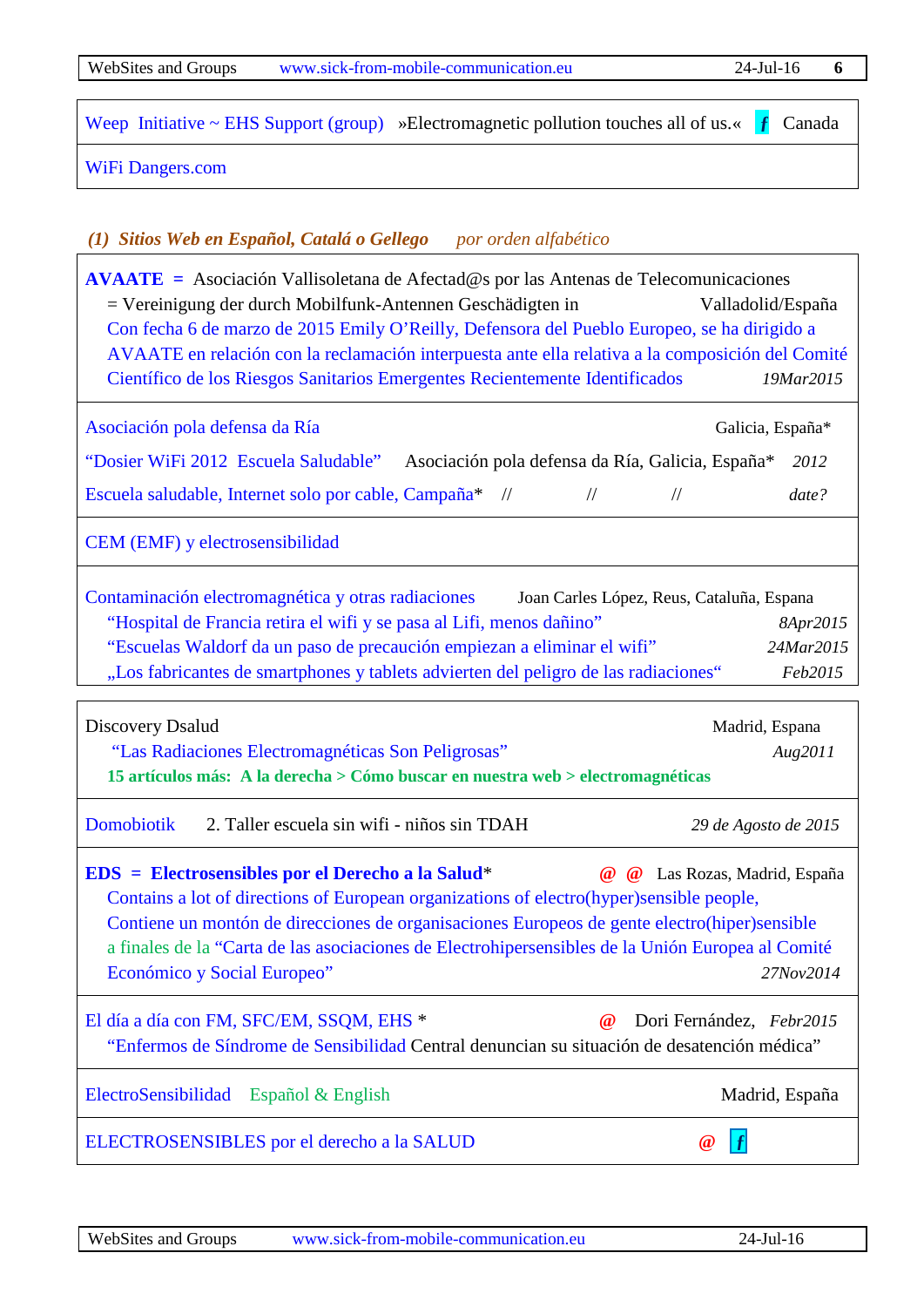WebSites and Groups [www.sick-from-mobile-communication.eu](http://www.sick-from-mobile-communication.eu/) 24-Jul-16 **6**

[Weep Initiative ~ EHS Support \(group\)](http://weepinitiative.org/) »Electromagnetic pollution touches all of us.« **f** Canada

[WiFi Dangers.com](http://wifidangers.com/)

# <span id="page-5-0"></span>*(1) Sitios Web en Español, Catalá o Gellego por orden alfabético*

**[AVAATE =](http://www.avaate.org/)** Asociación Vallisoletana de Afectad@s por las Antenas de Telecomunicaciones = Vereinigung der durch Mobilfunk-Antennen Geschädigten in Valladolid/España [Con fecha 6 de marzo de 2015 Emily O'Reilly, Defensora del Pueblo Europeo, se ha dirigido a](http://www.avaate.org/spip.php?article2601)  [AVAATE en relación con la reclamación interpuesta ante ella relativa a la composición del Comité](http://www.avaate.org/spip.php?article2601)  [Científico de los Riesgos Sanitarios Emergentes Recientemente Identificados](http://www.avaate.org/spip.php?article2601) *19Mar2015* [Asociación pola defensa da Ría](http://www.apdr.info/) Galicia, España\* Galicia, España\* ["Dosier WiFi 2012 Escuela Saludable"](http://www.apdr.info/electrocontaminacion/WIFI/documentos%20base/Dosier.WI-FI_2012_cas.pdf) Asociación pola defensa da Ría, Galicia, España\* *2012* Escuela saludable, Internet solo por cable, Campaña<sup>\*</sup> // // // // // *date?* [CEM \(EMF\) y electrosensibilidad](http://cemyelectrosensibilidad.blogspot.com.es/) [Contaminación electromagnética y otras radiaciones](https://radiaciones.wordpress.com/)Joan Carles López, Reus, Cataluña, Espana "Hospital de Francia retira el wifi y se pasa al Lifi, menos dañino" *8Apr2015* ["Escuelas Waldorf da un paso de precaución empiezan a eliminar el](https://radiaciones.wordpress.com/2015/03/24/escuelas-waldorf-da-un-paso-de-precaucion-empiezan-a-eliminar-el-wifi/) wifi"*24Mar2015* ["Los fabricantes de smartphones y tablets advierten del peligro de las](https://radiaciones.wordpress.com/2015/02/16/los-fabricantes-de-smartphones-y-tablets-advierten-del-peligro-de-las-radiaciones/) radiaciones" *Feb2015* Discovery Dsalud Madrid, Espana "Las Radiaciones [Electromagnéticas Son Peligrosas"](http://www.dsalud.com/index.php?pagina=articulo&c=1622) *Aug2011* **15 artículos más: A la derecha > Cómo buscar en nuestra web > electromagnéticas** [Domobiotik](http://domobiotik.blogspot.com.es/)2. Taller escuela sin wifi - niños sin TDAH *29 de Agosto de 2015* **[EDS = Electrosensibles por el Derecho a la Salud](http://electrosensiblesderechosalud.org/)**\* **@ @** Las Rozas, Madrid, España [Contains a lot of directions of European organizations of electro\(hyper\)sensible people,](http://electrosensiblesderechosalud.org/carta-de-las-asociaciones-en-defensa-de-los-derechos-de-personas-electrohipersensibles-de-los-paises-de-la-union-europea-al-comite-economico-y-social-europeo-con-motivo-de-la-audiencia-sobre-electrohi/)  [Contiene un montón de direcciones de organisaciones Europeos de gente electro\(hiper\)sensible](http://electrosensiblesderechosalud.org/carta-de-las-asociaciones-en-defensa-de-los-derechos-de-personas-electrohipersensibles-de-los-paises-de-la-union-europea-al-comite-economico-y-social-europeo-con-motivo-de-la-audiencia-sobre-electrohi/) a finales de la ["Carta de las asociaciones de Electrohipersensibles de la Unión Europea al Comité](http://electrosensiblesderechosalud.org/carta-de-las-asociaciones-en-defensa-de-los-derechos-de-personas-electrohipersensibles-de-los-paises-de-la-union-europea-al-comite-economico-y-social-europeo-con-motivo-de-la-audiencia-sobre-electrohi/)  [Económico y Social Europeo"](http://electrosensiblesderechosalud.org/carta-de-las-asociaciones-en-defensa-de-los-derechos-de-personas-electrohipersensibles-de-los-paises-de-la-union-europea-al-comite-economico-y-social-europeo-con-motivo-de-la-audiencia-sobre-electrohi/) *27Nov2014* [El día a día con FM, SFC/EM, SSQM, EHS](http://afaramos.blogspot.com.es/) \* **@** Dori Fernández, *Febr2015*  ["Enfermos de Síndrome de Sensibilidad](http://afaramos.blogspot.com.es/2015/02/enfermos) Central denuncian su situación de desatención médica" [ElectroSensibilidad](http://www.electrosensibilidad.es/) Español & English Madrid, España [ELECTROSENSIBLES por el](http://electrosensiblesderechosalud.org/) derecho a la SALUD **@ [ƒ](https://www.facebook.com/hotelsohnewlan)**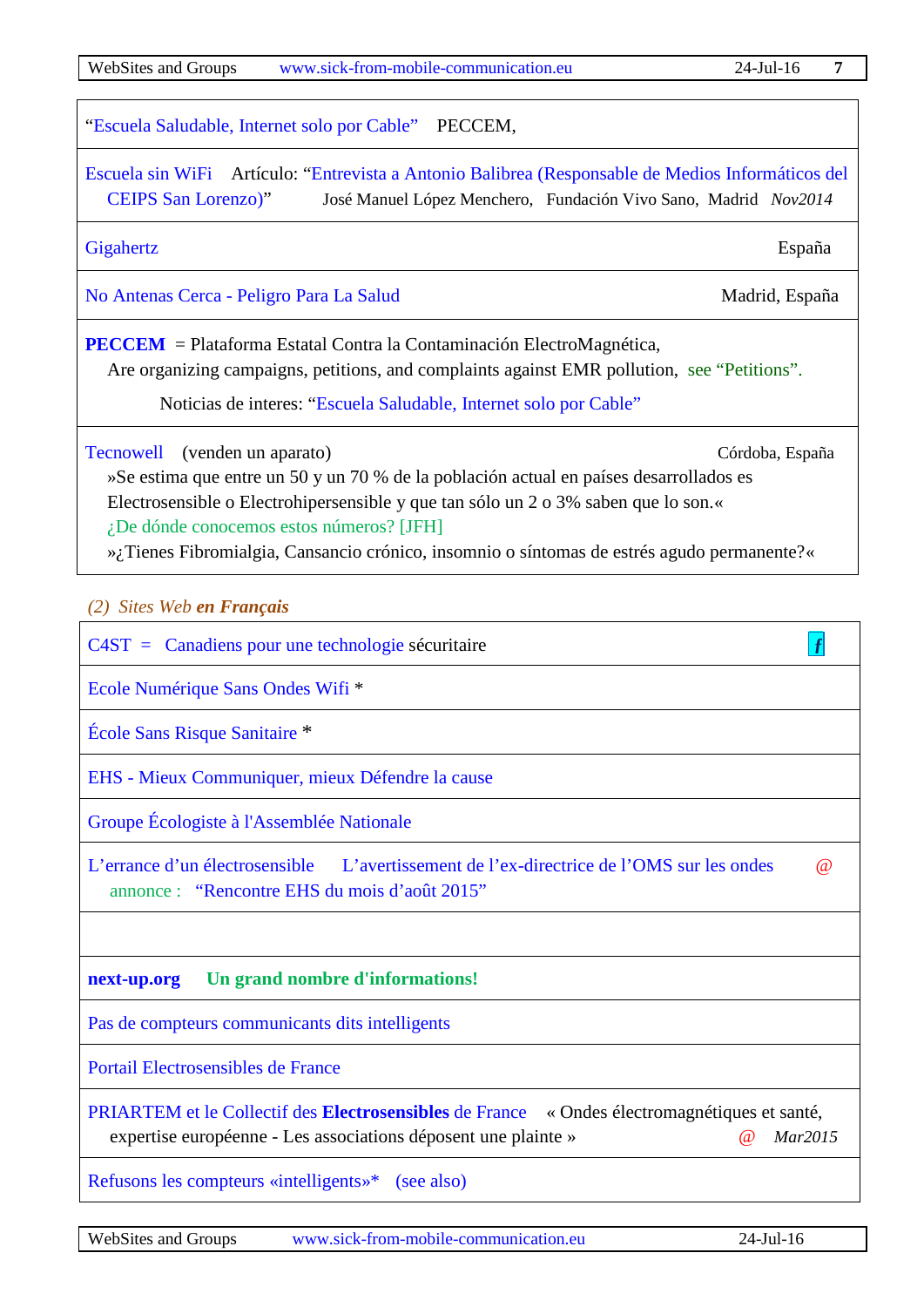["Escuela Saludable, Internet solo por Cable"](http://www.peccem.org/campanaEscuelaWifi.html) PECCEM,

[Escuela sin WiFi](http://www.escuelasinwifi.org/) Artículo: ["Entrevista a Antonio Balibrea \(Responsable de Medios Informáticos](http://www.escuelasinwifi.com/sites/default/files/documentos/entrevista_colegio_san_lorenzo_-_murcia.pdf) del [CEIPS San Lorenzo\)"](http://www.escuelasinwifi.com/sites/default/files/documentos/entrevista_colegio_san_lorenzo_-_murcia.pdf) José Manuel López Menchero, Fundación Vivo Sano, Madrid *Nov2014*

[Gigahertz](http://www.gigahertz.es/blog) España

No Antenas Cerca - [Peligro Para La Salud](http://noantenascerca.blogspot.com.es/) Madrid, España

**[PECCEM](http://www.peccem.org/)** = Plataforma Estatal Contra la Contaminación ElectroMagnética, Are organizing campaigns, petitions, and complaints against EMR pollution, see "Petitions".

Noticias de interes: ["Escuela Saludable, Internet solo por Cable"](http://www.peccem.org/campanaEscuelaWifi.html) 

[Tecnowell](http://www.tecnowell.eu/) (venden un aparato) Córdoba, España

»Se estima que entre un 50 y un 70 % de la población actual en países desarrollados es Electrosensible o Electrohipersensible y que tan sólo un 2 o 3% saben que lo son.« ¿De dónde conocemos estos números? [JFH]

»¿Tienes Fibromialgia, Cansancio crónico, insomnio o síntomas de estrés agudo permanente?«

<span id="page-6-0"></span>*(2) Sites Web en Français*

[C4ST = Canadiens pour une technologie](http://c4st.org/francais) sécuritaire **[ƒ](https://www.facebook.com/hotelsohnewlan)**

[Ecole Numérique Sans Ondes Wifi](http://www.ensow.fr/) \*

[École Sans Risque Sanitaire](https://ecolesansrisquesanitaire.wordpress.com/) \*

EHS - [Mieux Communiquer, mieux Défendre la cause](https://www.facebook.com/EHS-Mieux-Communiquer-mieux-D%C3%A9fendre-la-cause-511358192340290/timeline/?notif_t=fbpage_fan_invite)

[Groupe Écologiste à l'Assemblée Nationale](http://www.ecolodepute-e-s.fr/les-%C3%A9colod%C3%A9put%C3%A9-e-s/)

[L'errance d'un électrosensible](http://electrosensible.info/) [L'avertissement de l'ex-directrice de l'OMS sur les ondes](http://electrosensible.info/2015/08/22/lavertissement-de-lex-directrice-de-loms-sur-les-ondes/)@ [annonce](http://dict.leo.org/frde/index_de.html#/search=annonce&searchLoc=0&resultOrder=basic&multiwordShowSingle=on) :["Rencontre EHS du mois d'août 2015"](http://electrosensible.info/2015/08/01/rencontre-ehs-du-mois-daout-2015/)

### **[next-up.org](http://www.next-up.org/) Un grand nombre d'informations!**

[Pas de compteurs communicants](https://www.facebook.com/Nonauxcompteurscommunicants) dits intelligents

[Portail Electrosensibles de France](http://www.electrosensible.org/b2/)

[PRIARTEM et le Collectif des](http://www.priartem.fr/Ondes-electromagnetiques-et-sante.html) **Electrosensibles** de France « Ondes électromagnétiques et santé, expertise européenne - Les associations déposent une plainte »@ *Mar2015*

[Refusons les compteurs «intelligents»\\*](https://refusonslescompteurs.wordpress.com/)[\(see also\)](https://refusonslescompteurs.wordpress.com/les-compteurs/mesurage-de-puissance/)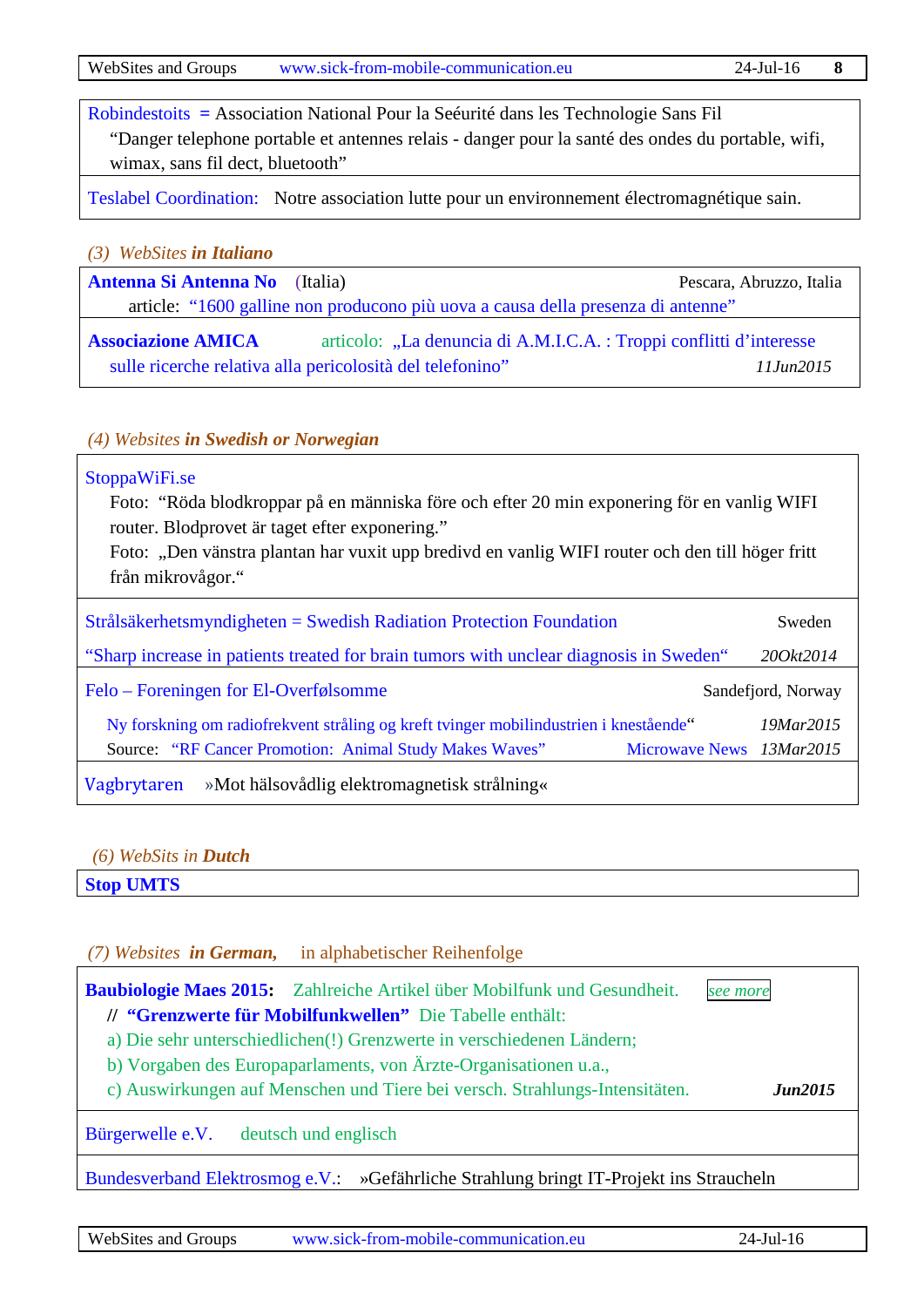[Robindestoits](http://www.robindestoits.org/) **=** Association National Pour la Seéurité dans les Technologie Sans Fil "Danger telephone portable et antennes relais - danger pour la santé des ondes du portable, wifi, wimax, sans fil dect, bluetooth"

[Teslabel Coordination:](http://www.teslabel.be/) Notre association lutte pour un environnement électromagnétique sain.

<span id="page-7-0"></span>*(3) WebSites in Italiano*

**[Antenna Si Antenna No](http://www.antennasiantennano.info/2015/03/il-fronte-delle-antenne-i-comitati-lotteranno-insieme-una-citta-contro-gasparri/)** (Italia)Pescara, Abruzzo, Italia article: ["1600 galline non producono più uova a causa della presenza di antenne"](http://www.antennasiantennano.info/2015/03/1600-galline-non-producono-piu-uova-a-causa-della-presenza-di-antenne/)

**[Associazione AMICA](http://www.infoamica.it/)** articolo: "La denuncia di A.M.I.C.A. : Troppi conflitti d'interesse sulle ricerche relativa alla pericolosità del telefonino" *11Jun2015*

### <span id="page-7-1"></span>*(4) Websites in Swedish or Norwegian*

### [StoppaWiFi.se](http://stoppawifi.se/)

Foto: "Röda blodkroppar på en människa före och efter 20 min exponering för en vanlig WIFI router. Blodprovet är taget efter exponering."

Foto: "Den vänstra plantan har vuxit upp bredivd en vanlig WIFI router och den till höger fritt från mikrovågor."

| $Strålsäkerhetsmyndigheten = Swedish Radiation Protection Foundation$                  | Sweden             |
|----------------------------------------------------------------------------------------|--------------------|
| "Sharp increase in patients treated for brain tumors with unclear diagnosis in Sweden" | 200kt2014          |
| Felo – Foreningen for El-Overfølsomme                                                  | Sandefjord, Norway |
| Ny forskning om radiofrekvent stråling og kreft tvinger mobilindustrien i knestående"  | 19Mar2015          |
| Source: "RF Cancer Promotion: Animal Study Makes Waves"<br>Microwave News 13Mar2015    |                    |
| »Mot hälsovådlig elektromagnetisk strålning«<br>Vagbrytaren                            |                    |

#### <span id="page-7-2"></span>*(6) WebSits in Dutch*

**[Stop UMTS](http://www.stopumts.nl/)**

### <span id="page-7-3"></span>*(7) Websites in German,* in alphabetischer Reihenfolge

**[Baubiologie Maes 2015:](http://www.maes.de/)** Zahlreiche Artikel über Mobilfunk und Gesundheit. *see [more](http://www.maes.de/3%20STANDARD/maes.de%20STANDARD-2008%20RICHTWERTE.PDF)* **// ["Grenzwerte für Mobilfunkwellen"](http://www.maes.de/6%20SENDER/maes.de%20GRENZWERTE%20EFFEKTE%20HF.PDF)** Die Tabelle enthält: a) Die sehr unterschiedlichen(!) Grenzwerte in verschiedenen Ländern; b) Vorgaben des Europaparlaments, von Ärzte-Organisationen u.a., c) Auswirkungen auf Menschen und Tiere bei versch. Strahlungs-Intensitäten. *Jun2015*

[Bürgerwelle e.V.](http://www.buergerwelle.de/de/) deutsch und englisch

[Bundesverband Elektrosmog e.V.:](http://bundesverband.elektrosmog.net/blog/2014/12/02/gefaehrliche-strahlung-bringt-it-projekt-ins-straucheln/) »Gefährliche Strahlung bringt IT-Projekt ins Straucheln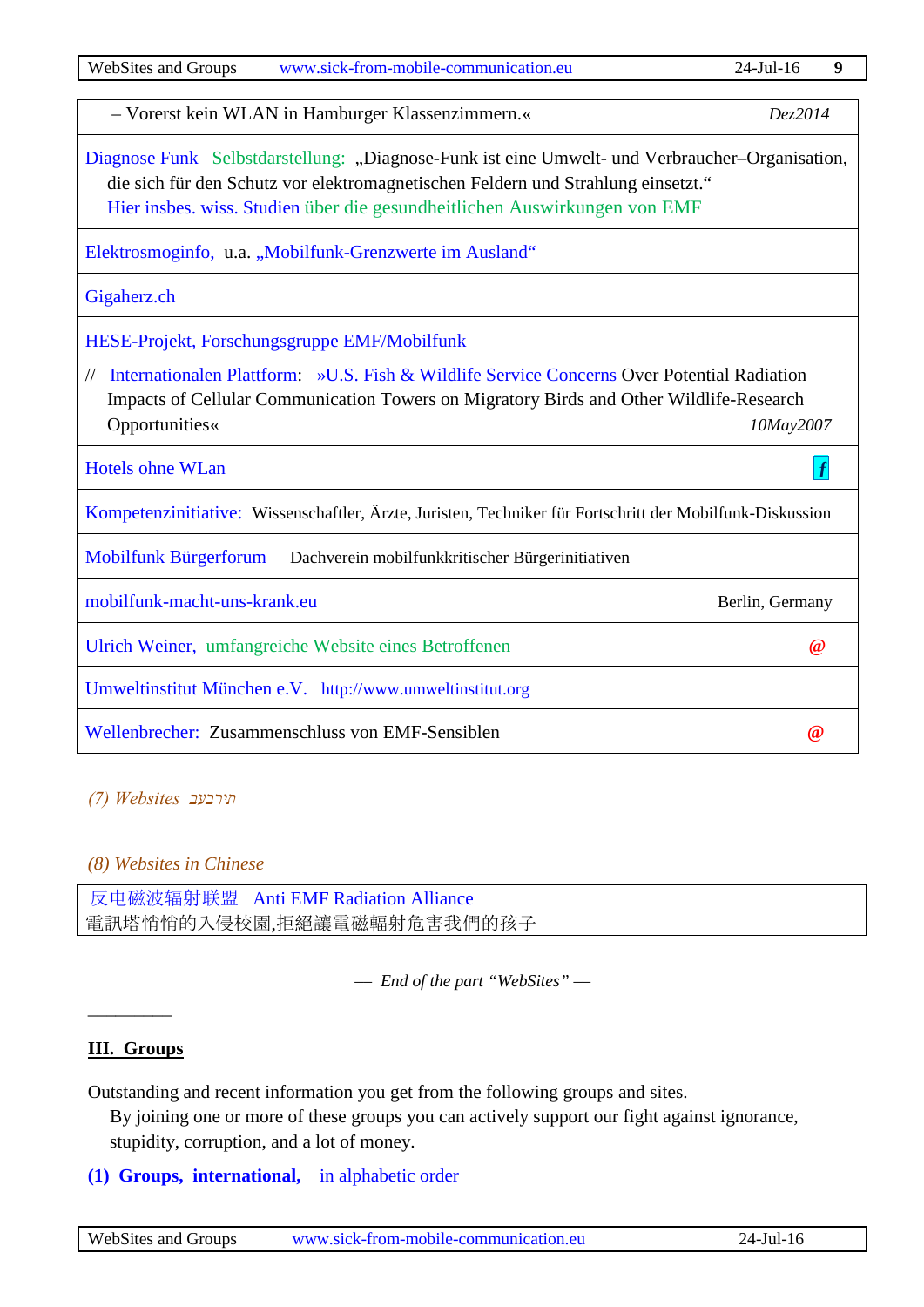| <b>WebSites and Groups</b><br>www.sick-from-mobile-communication.eu                                                                                                                                                                                             | $24$ -Jul-16         | 9 |
|-----------------------------------------------------------------------------------------------------------------------------------------------------------------------------------------------------------------------------------------------------------------|----------------------|---|
| - Vorerst kein WLAN in Hamburger Klassenzimmern.«                                                                                                                                                                                                               | Dez2014              |   |
| Diagnose Funk Selbstdarstellung: "Diagnose-Funk ist eine Umwelt- und Verbraucher-Organisation,<br>die sich für den Schutz vor elektromagnetischen Feldern und Strahlung einsetzt."<br>Hier insbes. wiss. Studien über die gesundheitlichen Auswirkungen von EMF |                      |   |
| Elektrosmoginfo, u.a. "Mobilfunk-Grenzwerte im Ausland"                                                                                                                                                                                                         |                      |   |
| Gigaherz.ch                                                                                                                                                                                                                                                     |                      |   |
| HESE-Projekt, Forschungsgruppe EMF/Mobilfunk                                                                                                                                                                                                                    |                      |   |
| Internationalen Plattform: »U.S. Fish & Wildlife Service Concerns Over Potential Radiation<br>Impacts of Cellular Communication Towers on Migratory Birds and Other Wildlife-Research<br>Opportunities«                                                         | 10May2007            |   |
| <b>Hotels ohne WLan</b>                                                                                                                                                                                                                                         |                      |   |
| Kompetenzinitiative: Wissenschaftler, Ärzte, Juristen, Techniker für Fortschritt der Mobilfunk-Diskussion                                                                                                                                                       |                      |   |
| <b>Mobilfunk Bürgerforum</b><br>Dachverein mobilfunkkritischer Bürgerinitiativen                                                                                                                                                                                |                      |   |
| mobilfunk-macht-uns-krank.eu                                                                                                                                                                                                                                    | Berlin, Germany      |   |
| Ulrich Weiner, umfangreiche Website eines Betroffenen                                                                                                                                                                                                           | $^{\textregistered}$ |   |
| Umweltinstitut München e.V. http://www.umweltinstitut.org                                                                                                                                                                                                       |                      |   |
| Wellenbrecher: Zusammenschluss von EMF-Sensiblen                                                                                                                                                                                                                | $\omega$             |   |

#### <span id="page-8-1"></span>*תירבעב Websites) 7(*

## <span id="page-8-2"></span>*(8) Websites in Chinese*

反[电磁波辐射联盟](https://plus.google.com/100873678861117773496/posts) Anti [EMF Radiation Alliance](https://plus.google.com/100873678861117773496/posts) 電訊塔悄悄的入侵校園,拒絕讓電磁輻射危害我們的孩子

*–– End of the part "WebSites" ––*

## <span id="page-8-0"></span>**III. Groups**

–––––––––

Outstanding and recent information you get from the following groups and sites.

By joining one or more of these groups you can actively support our fight against ignorance, stupidity, corruption, and a lot of money.

**(1) Groups, international,** [in alphabetic order](#page-9-0)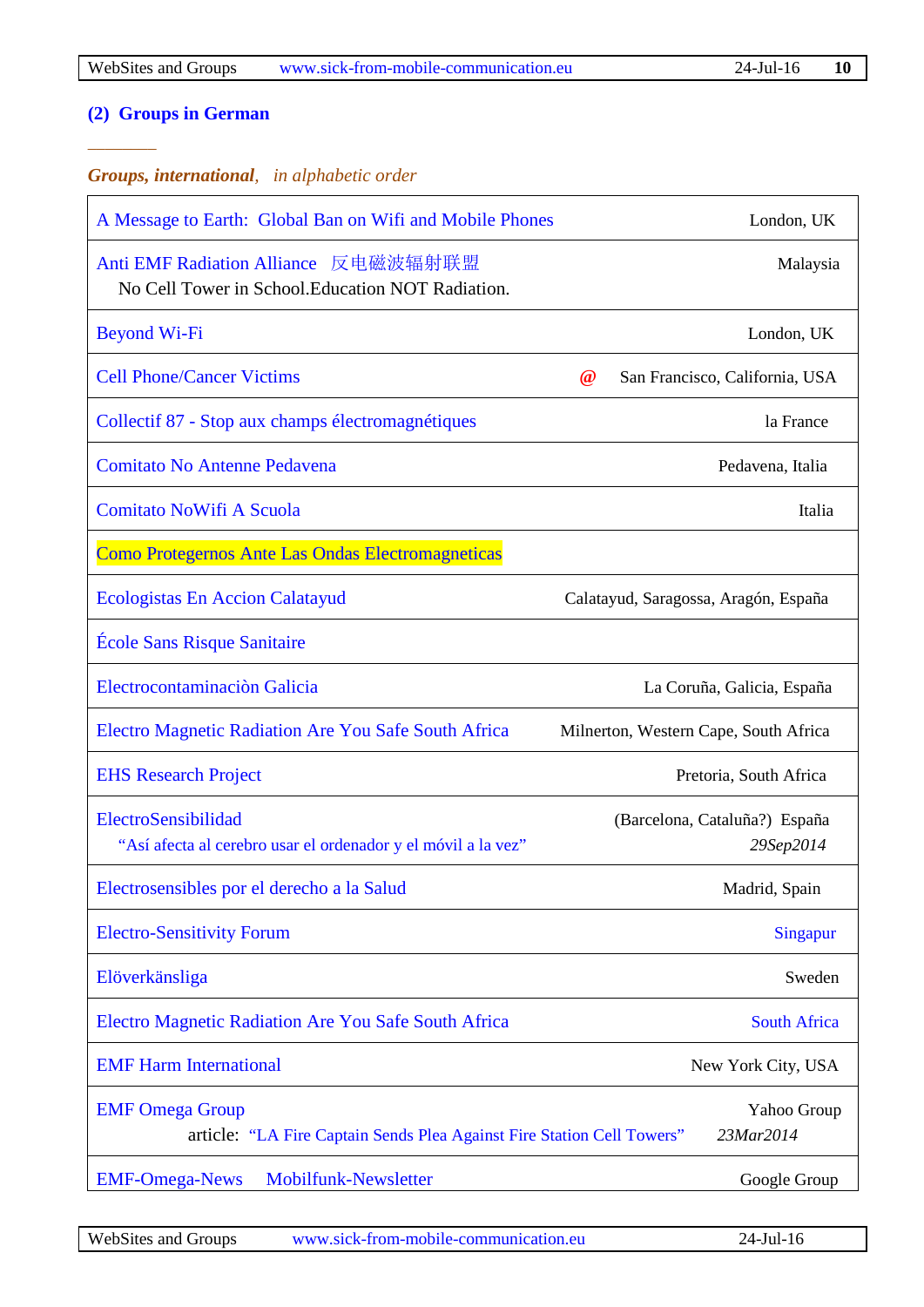*––––––––*

# **[\(2\) Groups in German](#page-11-0)**

## <span id="page-9-0"></span>*Groups, international, in alphabetic order*

| A Message to Earth: Global Ban on Wifi and Mobile Phones                                         | London, UK                                 |
|--------------------------------------------------------------------------------------------------|--------------------------------------------|
| Anti EMF Radiation Alliance 反电磁波辐射联盟<br>No Cell Tower in School. Education NOT Radiation.        | Malaysia                                   |
| <b>Beyond Wi-Fi</b>                                                                              | London, UK                                 |
| <b>Cell Phone/Cancer Victims</b>                                                                 | $\omega$<br>San Francisco, California, USA |
| Collectif 87 - Stop aux champs électromagnétiques                                                | la France                                  |
| <b>Comitato No Antenne Pedavena</b>                                                              | Pedavena, Italia                           |
| <b>Comitato NoWifi A Scuola</b>                                                                  | Italia                                     |
| Como Protegernos Ante Las Ondas Electromagneticas                                                |                                            |
| <b>Ecologistas En Accion Calatayud</b>                                                           | Calatayud, Saragossa, Aragón, España       |
| <b>École Sans Risque Sanitaire</b>                                                               |                                            |
| Electrocontaminación Galicia                                                                     | La Coruña, Galicia, España                 |
| Electro Magnetic Radiation Are You Safe South Africa                                             | Milnerton, Western Cape, South Africa      |
| <b>EHS Research Project</b>                                                                      | Pretoria, South Africa                     |
| ElectroSensibilidad<br>"Así afecta al cerebro usar el ordenador y el móvil a la vez"             | (Barcelona, Cataluña?) España<br>29Sep2014 |
| Electrosensibles por el derecho a la Salud                                                       | Madrid, Spain                              |
| <b>Electro-Sensitivity Forum</b>                                                                 | Singapur                                   |
| Elöverkänsliga                                                                                   | Sweden                                     |
| Electro Magnetic Radiation Are You Safe South Africa                                             | <b>South Africa</b>                        |
| <b>EMF Harm International</b>                                                                    | New York City, USA                         |
| <b>EMF Omega Group</b><br>article: "LA Fire Captain Sends Plea Against Fire Station Cell Towers" | Yahoo Group<br>23Mar2014                   |
| Mobilfunk-Newsletter<br><b>EMF-Omega-News</b>                                                    | Google Group                               |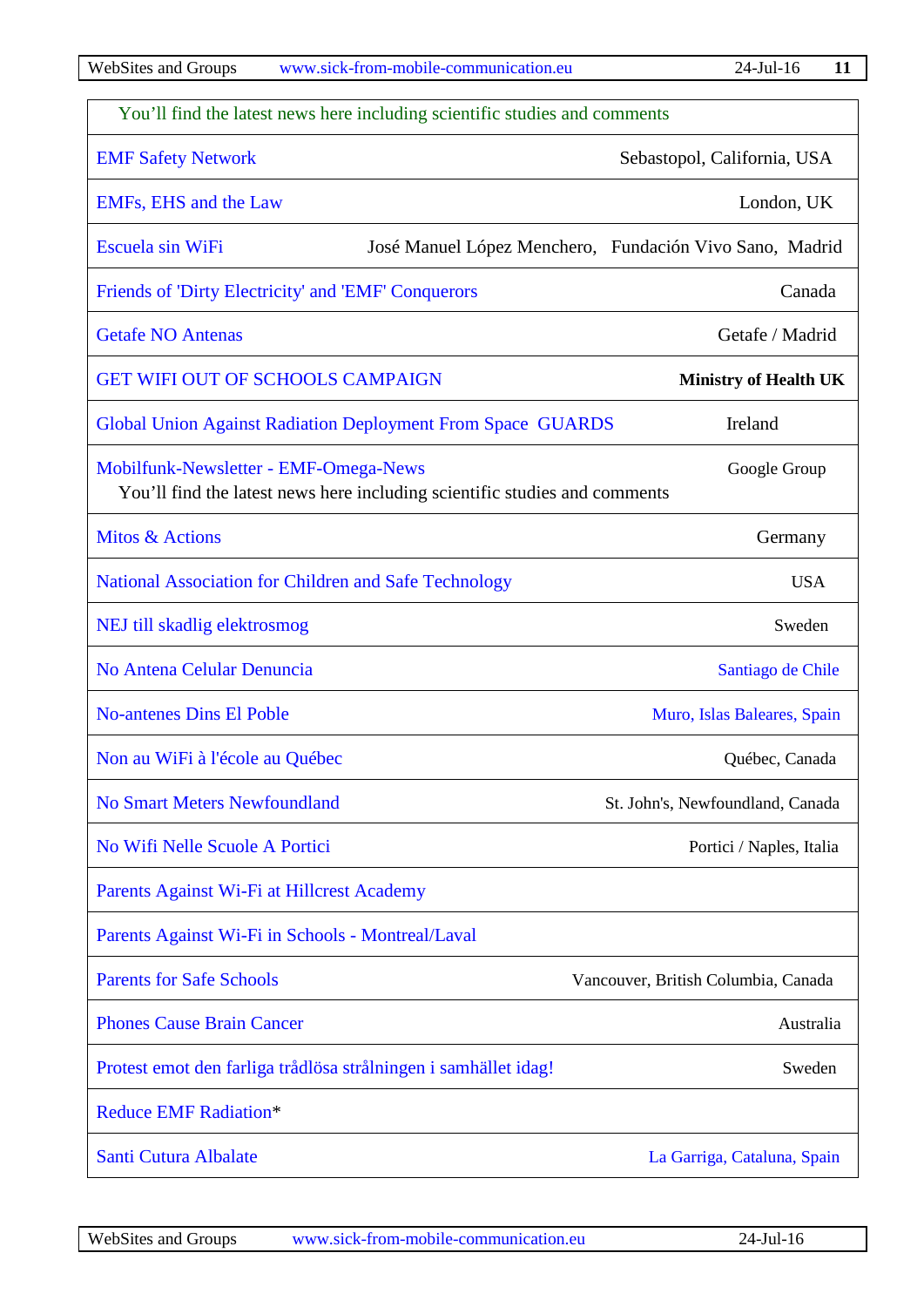| You'll find the latest news here including scientific studies and comments                                          |                                                         |
|---------------------------------------------------------------------------------------------------------------------|---------------------------------------------------------|
| <b>EMF Safety Network</b>                                                                                           | Sebastopol, California, USA                             |
| <b>EMFs, EHS and the Law</b>                                                                                        | London, UK                                              |
| Escuela sin WiFi                                                                                                    | José Manuel López Menchero, Fundación Vivo Sano, Madrid |
| Friends of 'Dirty Electricity' and 'EMF' Conquerors                                                                 | Canada                                                  |
| <b>Getafe NO Antenas</b>                                                                                            | Getafe / Madrid                                         |
| <b>GET WIFI OUT OF SCHOOLS CAMPAIGN</b>                                                                             | <b>Ministry of Health UK</b>                            |
| Global Union Against Radiation Deployment From Space GUARDS                                                         | Ireland                                                 |
| Mobilfunk-Newsletter - EMF-Omega-News<br>You'll find the latest news here including scientific studies and comments | Google Group                                            |
| <b>Mitos &amp; Actions</b>                                                                                          | Germany                                                 |
| National Association for Children and Safe Technology                                                               | <b>USA</b>                                              |
| NEJ till skadlig elektrosmog                                                                                        | Sweden                                                  |
| No Antena Celular Denuncia                                                                                          | Santiago de Chile                                       |
| <b>No-antenes Dins El Poble</b>                                                                                     | Muro, Islas Baleares, Spain                             |
| Non au WiFi à l'école au Québec                                                                                     | Québec, Canada                                          |
| <b>No Smart Meters Newfoundland</b>                                                                                 | St. John's, Newfoundland, Canada                        |
| No Wifi Nelle Scuole A Portici                                                                                      | Portici / Naples, Italia                                |
| Parents Against Wi-Fi at Hillcrest Academy                                                                          |                                                         |
| Parents Against Wi-Fi in Schools - Montreal/Laval                                                                   |                                                         |
| <b>Parents for Safe Schools</b>                                                                                     | Vancouver, British Columbia, Canada                     |
| <b>Phones Cause Brain Cancer</b>                                                                                    | Australia                                               |
| Protest emot den farliga trådlösa strålningen i samhället idag!                                                     | Sweden                                                  |
| <b>Reduce EMF Radiation*</b>                                                                                        |                                                         |
| Santi Cutura Albalate                                                                                               | La Garriga, Cataluna, Spain                             |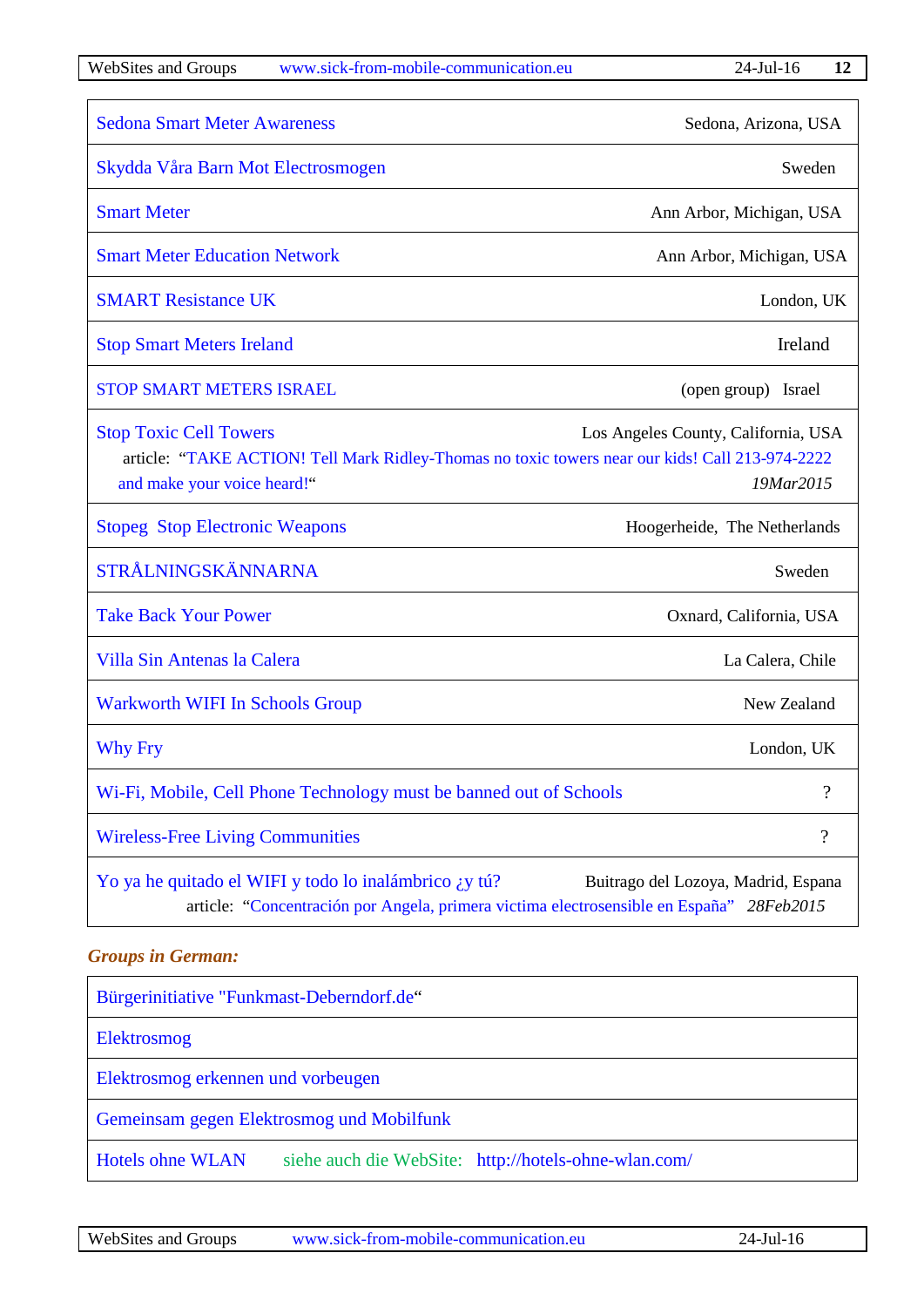| <b>Sedona Smart Meter Awareness</b>                                                                                                                             | Sedona, Arizona, USA                             |
|-----------------------------------------------------------------------------------------------------------------------------------------------------------------|--------------------------------------------------|
| Skydda Våra Barn Mot Electrosmogen                                                                                                                              | Sweden                                           |
| <b>Smart Meter</b>                                                                                                                                              | Ann Arbor, Michigan, USA                         |
| <b>Smart Meter Education Network</b>                                                                                                                            | Ann Arbor, Michigan, USA                         |
| <b>SMART Resistance UK</b>                                                                                                                                      | London, UK                                       |
| <b>Stop Smart Meters Ireland</b>                                                                                                                                | Ireland                                          |
| <b>STOP SMART METERS ISRAEL</b>                                                                                                                                 | (open group) Israel                              |
| <b>Stop Toxic Cell Towers</b><br>article: "TAKE ACTION! Tell Mark Ridley-Thomas no toxic towers near our kids! Call 213-974-2222<br>and make your voice heard!" | Los Angeles County, California, USA<br>19Mar2015 |
| <b>Stopeg Stop Electronic Weapons</b>                                                                                                                           | Hoogerheide, The Netherlands                     |
| STRÅLNINGSKÄNNARNA                                                                                                                                              | Sweden                                           |
| <b>Take Back Your Power</b>                                                                                                                                     | Oxnard, California, USA                          |
| Villa Sin Antenas la Calera                                                                                                                                     | La Calera, Chile                                 |
| <b>Warkworth WIFI In Schools Group</b>                                                                                                                          | New Zealand                                      |
| <b>Why Fry</b>                                                                                                                                                  | London, UK                                       |
| Wi-Fi, Mobile, Cell Phone Technology must be banned out of Schools                                                                                              | ?                                                |
| <b>Wireless-Free Living Communities</b>                                                                                                                         | $\overline{\mathcal{L}}$                         |
| Yo ya he quitado el WIFI y todo lo inalámbrico ¿y tú?<br>article: "Concentración por Angela, primera victima electrosensible en España" 28Feb2015               | Buitrago del Lozoya, Madrid, Espana              |

# <span id="page-11-0"></span>*Groups in German:*

| Bürgerinitiative "Funkmast-Deberndorf.de"                                       |
|---------------------------------------------------------------------------------|
| Elektrosmog                                                                     |
| Elektrosmog erkennen und vorbeugen                                              |
| Gemeinsam gegen Elektrosmog und Mobilfunk                                       |
| <b>Hotels ohne WLAN</b><br>siehe auch die WebSite: http://hotels-ohne-wlan.com/ |